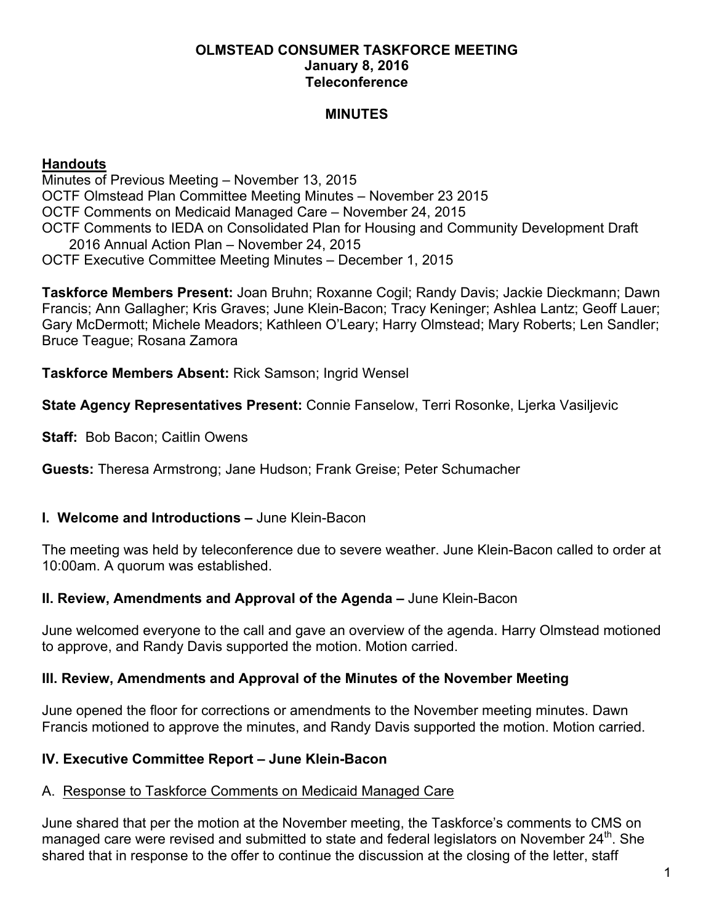### **OLMSTEAD CONSUMER TASKFORCE MEETING January 8, 2016 Teleconference**

### **MINUTES**

### **Handouts**

Minutes of Previous Meeting – November 13, 2015 OCTF Olmstead Plan Committee Meeting Minutes – November 23 2015 OCTF Comments on Medicaid Managed Care – November 24, 2015 OCTF Comments to IEDA on Consolidated Plan for Housing and Community Development Draft 2016 Annual Action Plan – November 24, 2015 OCTF Executive Committee Meeting Minutes – December 1, 2015

**Taskforce Members Present:** Joan Bruhn; Roxanne Cogil; Randy Davis; Jackie Dieckmann; Dawn Francis; Ann Gallagher; Kris Graves; June Klein-Bacon; Tracy Keninger; Ashlea Lantz; Geoff Lauer; Gary McDermott; Michele Meadors; Kathleen O'Leary; Harry Olmstead; Mary Roberts; Len Sandler; Bruce Teague; Rosana Zamora

**Taskforce Members Absent:** Rick Samson; Ingrid Wensel

**State Agency Representatives Present:** Connie Fanselow, Terri Rosonke, Ljerka Vasiljevic

**Staff:** Bob Bacon; Caitlin Owens

**Guests:** Theresa Armstrong; Jane Hudson; Frank Greise; Peter Schumacher

### **I. Welcome and Introductions –** June Klein-Bacon

The meeting was held by teleconference due to severe weather. June Klein-Bacon called to order at 10:00am. A quorum was established.

### **II. Review, Amendments and Approval of the Agenda –** June Klein-Bacon

June welcomed everyone to the call and gave an overview of the agenda. Harry Olmstead motioned to approve, and Randy Davis supported the motion. Motion carried.

### **III. Review, Amendments and Approval of the Minutes of the November Meeting**

June opened the floor for corrections or amendments to the November meeting minutes. Dawn Francis motioned to approve the minutes, and Randy Davis supported the motion. Motion carried.

### **IV. Executive Committee Report – June Klein-Bacon**

### A. Response to Taskforce Comments on Medicaid Managed Care

June shared that per the motion at the November meeting, the Taskforce's comments to CMS on managed care were revised and submitted to state and federal legislators on November  $24^{\text{th}}$ . She shared that in response to the offer to continue the discussion at the closing of the letter, staff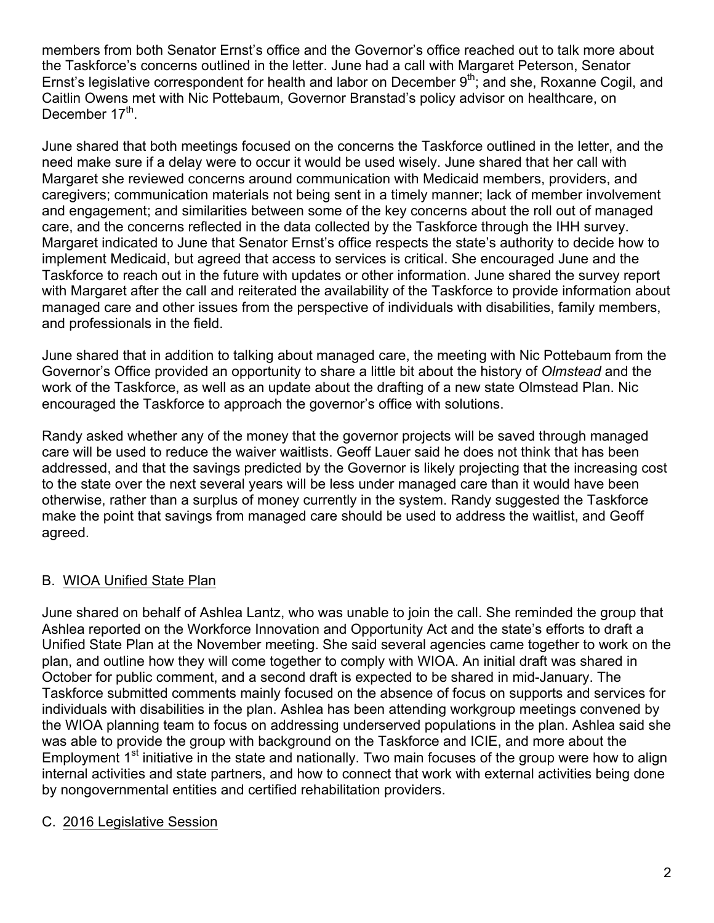members from both Senator Ernst's office and the Governor's office reached out to talk more about the Taskforce's concerns outlined in the letter. June had a call with Margaret Peterson, Senator Ernst's legislative correspondent for health and labor on December  $9<sup>th</sup>$ ; and she, Roxanne Cogil, and Caitlin Owens met with Nic Pottebaum, Governor Branstad's policy advisor on healthcare, on December 17<sup>th</sup>.

June shared that both meetings focused on the concerns the Taskforce outlined in the letter, and the need make sure if a delay were to occur it would be used wisely. June shared that her call with Margaret she reviewed concerns around communication with Medicaid members, providers, and caregivers; communication materials not being sent in a timely manner; lack of member involvement and engagement; and similarities between some of the key concerns about the roll out of managed care, and the concerns reflected in the data collected by the Taskforce through the IHH survey. Margaret indicated to June that Senator Ernst's office respects the state's authority to decide how to implement Medicaid, but agreed that access to services is critical. She encouraged June and the Taskforce to reach out in the future with updates or other information. June shared the survey report with Margaret after the call and reiterated the availability of the Taskforce to provide information about managed care and other issues from the perspective of individuals with disabilities, family members, and professionals in the field.

June shared that in addition to talking about managed care, the meeting with Nic Pottebaum from the Governor's Office provided an opportunity to share a little bit about the history of *Olmstead* and the work of the Taskforce, as well as an update about the drafting of a new state Olmstead Plan. Nic encouraged the Taskforce to approach the governor's office with solutions.

Randy asked whether any of the money that the governor projects will be saved through managed care will be used to reduce the waiver waitlists. Geoff Lauer said he does not think that has been addressed, and that the savings predicted by the Governor is likely projecting that the increasing cost to the state over the next several years will be less under managed care than it would have been otherwise, rather than a surplus of money currently in the system. Randy suggested the Taskforce make the point that savings from managed care should be used to address the waitlist, and Geoff agreed.

# B. WIOA Unified State Plan

June shared on behalf of Ashlea Lantz, who was unable to join the call. She reminded the group that Ashlea reported on the Workforce Innovation and Opportunity Act and the state's efforts to draft a Unified State Plan at the November meeting. She said several agencies came together to work on the plan, and outline how they will come together to comply with WIOA. An initial draft was shared in October for public comment, and a second draft is expected to be shared in mid-January. The Taskforce submitted comments mainly focused on the absence of focus on supports and services for individuals with disabilities in the plan. Ashlea has been attending workgroup meetings convened by the WIOA planning team to focus on addressing underserved populations in the plan. Ashlea said she was able to provide the group with background on the Taskforce and ICIE, and more about the Employment 1<sup>st</sup> initiative in the state and nationally. Two main focuses of the group were how to align internal activities and state partners, and how to connect that work with external activities being done by nongovernmental entities and certified rehabilitation providers.

### C. 2016 Legislative Session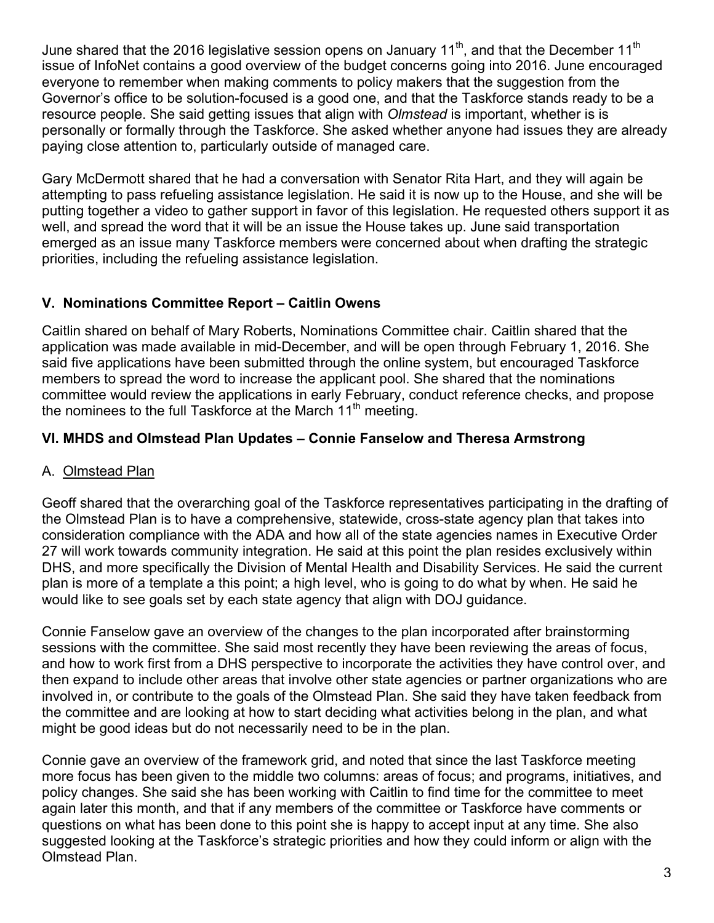June shared that the 2016 legislative session opens on January 11<sup>th</sup>, and that the December 11<sup>th</sup> issue of InfoNet contains a good overview of the budget concerns going into 2016. June encouraged everyone to remember when making comments to policy makers that the suggestion from the Governor's office to be solution-focused is a good one, and that the Taskforce stands ready to be a resource people. She said getting issues that align with *Olmstead* is important, whether is is personally or formally through the Taskforce. She asked whether anyone had issues they are already paying close attention to, particularly outside of managed care.

Gary McDermott shared that he had a conversation with Senator Rita Hart, and they will again be attempting to pass refueling assistance legislation. He said it is now up to the House, and she will be putting together a video to gather support in favor of this legislation. He requested others support it as well, and spread the word that it will be an issue the House takes up. June said transportation emerged as an issue many Taskforce members were concerned about when drafting the strategic priorities, including the refueling assistance legislation.

## **V. Nominations Committee Report – Caitlin Owens**

Caitlin shared on behalf of Mary Roberts, Nominations Committee chair. Caitlin shared that the application was made available in mid-December, and will be open through February 1, 2016. She said five applications have been submitted through the online system, but encouraged Taskforce members to spread the word to increase the applicant pool. She shared that the nominations committee would review the applications in early February, conduct reference checks, and propose the nominees to the full Taskforce at the March  $11<sup>th</sup>$  meeting.

## **VI. MHDS and Olmstead Plan Updates – Connie Fanselow and Theresa Armstrong**

### A. Olmstead Plan

Geoff shared that the overarching goal of the Taskforce representatives participating in the drafting of the Olmstead Plan is to have a comprehensive, statewide, cross-state agency plan that takes into consideration compliance with the ADA and how all of the state agencies names in Executive Order 27 will work towards community integration. He said at this point the plan resides exclusively within DHS, and more specifically the Division of Mental Health and Disability Services. He said the current plan is more of a template a this point; a high level, who is going to do what by when. He said he would like to see goals set by each state agency that align with DOJ guidance.

Connie Fanselow gave an overview of the changes to the plan incorporated after brainstorming sessions with the committee. She said most recently they have been reviewing the areas of focus, and how to work first from a DHS perspective to incorporate the activities they have control over, and then expand to include other areas that involve other state agencies or partner organizations who are involved in, or contribute to the goals of the Olmstead Plan. She said they have taken feedback from the committee and are looking at how to start deciding what activities belong in the plan, and what might be good ideas but do not necessarily need to be in the plan.

Connie gave an overview of the framework grid, and noted that since the last Taskforce meeting more focus has been given to the middle two columns: areas of focus; and programs, initiatives, and policy changes. She said she has been working with Caitlin to find time for the committee to meet again later this month, and that if any members of the committee or Taskforce have comments or questions on what has been done to this point she is happy to accept input at any time. She also suggested looking at the Taskforce's strategic priorities and how they could inform or align with the Olmstead Plan.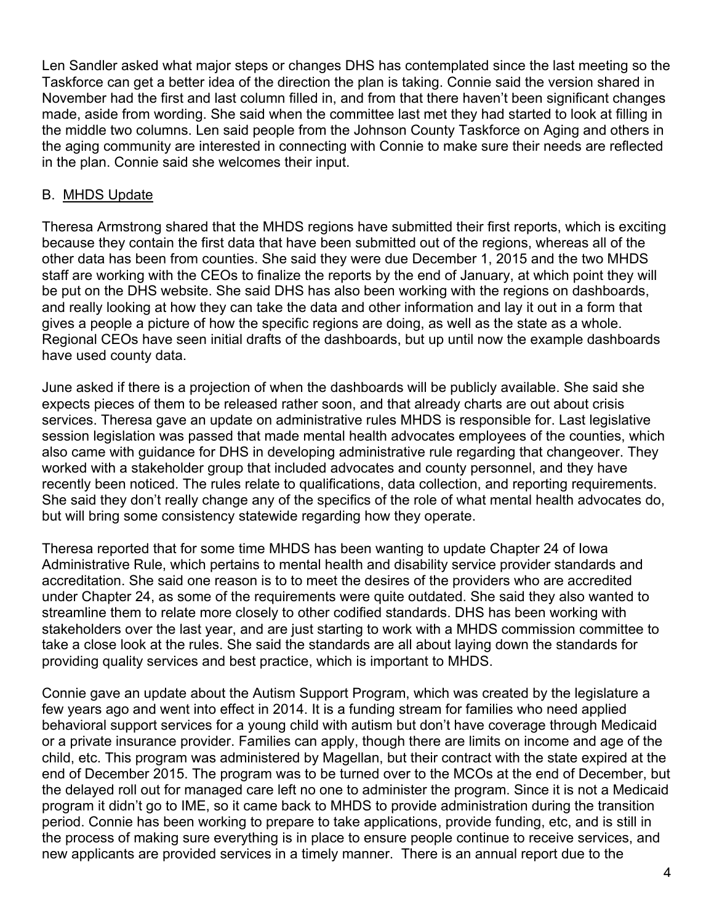Len Sandler asked what major steps or changes DHS has contemplated since the last meeting so the Taskforce can get a better idea of the direction the plan is taking. Connie said the version shared in November had the first and last column filled in, and from that there haven't been significant changes made, aside from wording. She said when the committee last met they had started to look at filling in the middle two columns. Len said people from the Johnson County Taskforce on Aging and others in the aging community are interested in connecting with Connie to make sure their needs are reflected in the plan. Connie said she welcomes their input.

### B. MHDS Update

Theresa Armstrong shared that the MHDS regions have submitted their first reports, which is exciting because they contain the first data that have been submitted out of the regions, whereas all of the other data has been from counties. She said they were due December 1, 2015 and the two MHDS staff are working with the CEOs to finalize the reports by the end of January, at which point they will be put on the DHS website. She said DHS has also been working with the regions on dashboards, and really looking at how they can take the data and other information and lay it out in a form that gives a people a picture of how the specific regions are doing, as well as the state as a whole. Regional CEOs have seen initial drafts of the dashboards, but up until now the example dashboards have used county data.

June asked if there is a projection of when the dashboards will be publicly available. She said she expects pieces of them to be released rather soon, and that already charts are out about crisis services. Theresa gave an update on administrative rules MHDS is responsible for. Last legislative session legislation was passed that made mental health advocates employees of the counties, which also came with guidance for DHS in developing administrative rule regarding that changeover. They worked with a stakeholder group that included advocates and county personnel, and they have recently been noticed. The rules relate to qualifications, data collection, and reporting requirements. She said they don't really change any of the specifics of the role of what mental health advocates do, but will bring some consistency statewide regarding how they operate.

Theresa reported that for some time MHDS has been wanting to update Chapter 24 of Iowa Administrative Rule, which pertains to mental health and disability service provider standards and accreditation. She said one reason is to to meet the desires of the providers who are accredited under Chapter 24, as some of the requirements were quite outdated. She said they also wanted to streamline them to relate more closely to other codified standards. DHS has been working with stakeholders over the last year, and are just starting to work with a MHDS commission committee to take a close look at the rules. She said the standards are all about laying down the standards for providing quality services and best practice, which is important to MHDS.

Connie gave an update about the Autism Support Program, which was created by the legislature a few years ago and went into effect in 2014. It is a funding stream for families who need applied behavioral support services for a young child with autism but don't have coverage through Medicaid or a private insurance provider. Families can apply, though there are limits on income and age of the child, etc. This program was administered by Magellan, but their contract with the state expired at the end of December 2015. The program was to be turned over to the MCOs at the end of December, but the delayed roll out for managed care left no one to administer the program. Since it is not a Medicaid program it didn't go to IME, so it came back to MHDS to provide administration during the transition period. Connie has been working to prepare to take applications, provide funding, etc, and is still in the process of making sure everything is in place to ensure people continue to receive services, and new applicants are provided services in a timely manner. There is an annual report due to the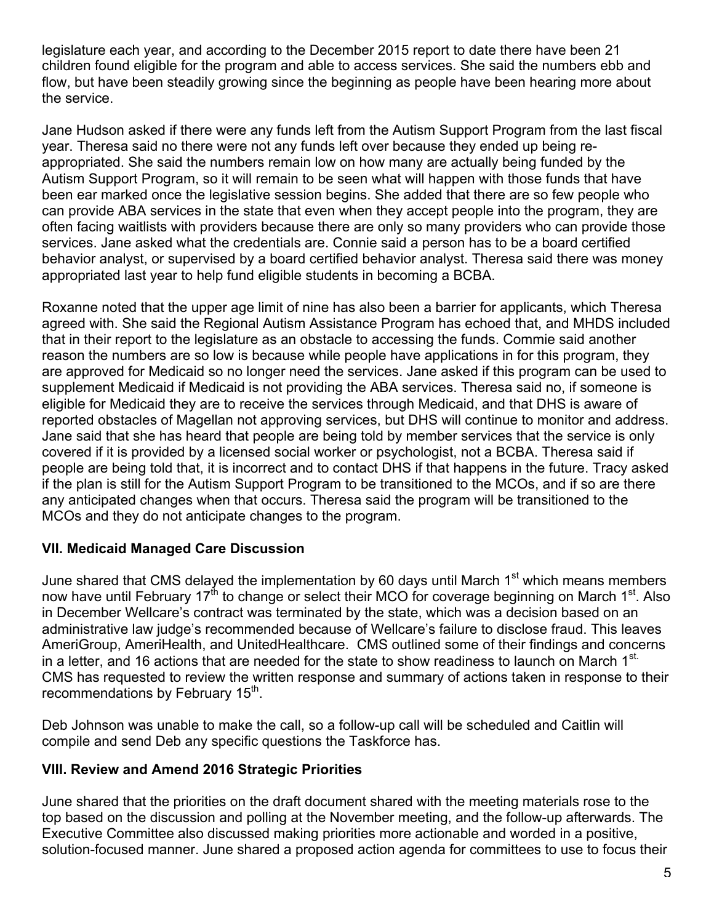legislature each year, and according to the December 2015 report to date there have been 21 children found eligible for the program and able to access services. She said the numbers ebb and flow, but have been steadily growing since the beginning as people have been hearing more about the service.

Jane Hudson asked if there were any funds left from the Autism Support Program from the last fiscal year. Theresa said no there were not any funds left over because they ended up being reappropriated. She said the numbers remain low on how many are actually being funded by the Autism Support Program, so it will remain to be seen what will happen with those funds that have been ear marked once the legislative session begins. She added that there are so few people who can provide ABA services in the state that even when they accept people into the program, they are often facing waitlists with providers because there are only so many providers who can provide those services. Jane asked what the credentials are. Connie said a person has to be a board certified behavior analyst, or supervised by a board certified behavior analyst. Theresa said there was money appropriated last year to help fund eligible students in becoming a BCBA.

Roxanne noted that the upper age limit of nine has also been a barrier for applicants, which Theresa agreed with. She said the Regional Autism Assistance Program has echoed that, and MHDS included that in their report to the legislature as an obstacle to accessing the funds. Commie said another reason the numbers are so low is because while people have applications in for this program, they are approved for Medicaid so no longer need the services. Jane asked if this program can be used to supplement Medicaid if Medicaid is not providing the ABA services. Theresa said no, if someone is eligible for Medicaid they are to receive the services through Medicaid, and that DHS is aware of reported obstacles of Magellan not approving services, but DHS will continue to monitor and address. Jane said that she has heard that people are being told by member services that the service is only covered if it is provided by a licensed social worker or psychologist, not a BCBA. Theresa said if people are being told that, it is incorrect and to contact DHS if that happens in the future. Tracy asked if the plan is still for the Autism Support Program to be transitioned to the MCOs, and if so are there any anticipated changes when that occurs. Theresa said the program will be transitioned to the MCOs and they do not anticipate changes to the program.

### **VII. Medicaid Managed Care Discussion**

June shared that CMS delayed the implementation by 60 days until March  $1<sup>st</sup>$  which means members now have until February 17<sup>th</sup> to change or select their MCO for coverage beginning on March 1<sup>st</sup>. Also in December Wellcare's contract was terminated by the state, which was a decision based on an administrative law judge's recommended because of Wellcare's failure to disclose fraud. This leaves AmeriGroup, AmeriHealth, and UnitedHealthcare. CMS outlined some of their findings and concerns in a letter, and 16 actions that are needed for the state to show readiness to launch on March 1 $^{\rm st}$ . CMS has requested to review the written response and summary of actions taken in response to their recommendations by February 15<sup>th</sup>.

Deb Johnson was unable to make the call, so a follow-up call will be scheduled and Caitlin will compile and send Deb any specific questions the Taskforce has.

# **VIII. Review and Amend 2016 Strategic Priorities**

June shared that the priorities on the draft document shared with the meeting materials rose to the top based on the discussion and polling at the November meeting, and the follow-up afterwards. The Executive Committee also discussed making priorities more actionable and worded in a positive, solution-focused manner. June shared a proposed action agenda for committees to use to focus their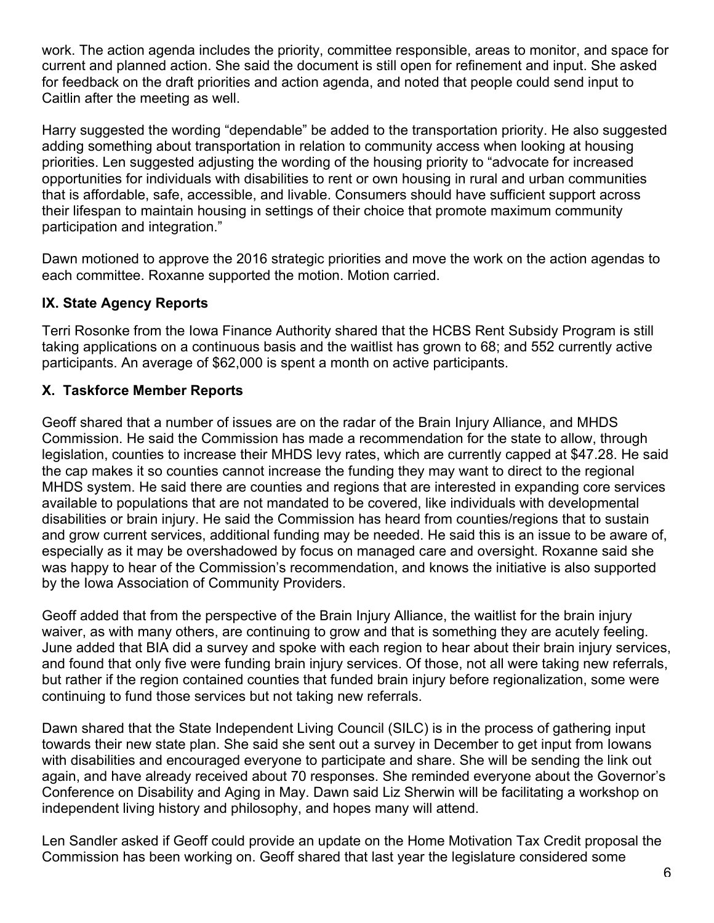work. The action agenda includes the priority, committee responsible, areas to monitor, and space for current and planned action. She said the document is still open for refinement and input. She asked for feedback on the draft priorities and action agenda, and noted that people could send input to Caitlin after the meeting as well.

Harry suggested the wording "dependable" be added to the transportation priority. He also suggested adding something about transportation in relation to community access when looking at housing priorities. Len suggested adjusting the wording of the housing priority to "advocate for increased opportunities for individuals with disabilities to rent or own housing in rural and urban communities that is affordable, safe, accessible, and livable. Consumers should have sufficient support across their lifespan to maintain housing in settings of their choice that promote maximum community participation and integration."

Dawn motioned to approve the 2016 strategic priorities and move the work on the action agendas to each committee. Roxanne supported the motion. Motion carried.

## **IX. State Agency Reports**

Terri Rosonke from the Iowa Finance Authority shared that the HCBS Rent Subsidy Program is still taking applications on a continuous basis and the waitlist has grown to 68; and 552 currently active participants. An average of \$62,000 is spent a month on active participants.

## **X. Taskforce Member Reports**

Geoff shared that a number of issues are on the radar of the Brain Injury Alliance, and MHDS Commission. He said the Commission has made a recommendation for the state to allow, through legislation, counties to increase their MHDS levy rates, which are currently capped at \$47.28. He said the cap makes it so counties cannot increase the funding they may want to direct to the regional MHDS system. He said there are counties and regions that are interested in expanding core services available to populations that are not mandated to be covered, like individuals with developmental disabilities or brain injury. He said the Commission has heard from counties/regions that to sustain and grow current services, additional funding may be needed. He said this is an issue to be aware of, especially as it may be overshadowed by focus on managed care and oversight. Roxanne said she was happy to hear of the Commission's recommendation, and knows the initiative is also supported by the Iowa Association of Community Providers.

Geoff added that from the perspective of the Brain Injury Alliance, the waitlist for the brain injury waiver, as with many others, are continuing to grow and that is something they are acutely feeling. June added that BIA did a survey and spoke with each region to hear about their brain injury services, and found that only five were funding brain injury services. Of those, not all were taking new referrals, but rather if the region contained counties that funded brain injury before regionalization, some were continuing to fund those services but not taking new referrals.

Dawn shared that the State Independent Living Council (SILC) is in the process of gathering input towards their new state plan. She said she sent out a survey in December to get input from Iowans with disabilities and encouraged everyone to participate and share. She will be sending the link out again, and have already received about 70 responses. She reminded everyone about the Governor's Conference on Disability and Aging in May. Dawn said Liz Sherwin will be facilitating a workshop on independent living history and philosophy, and hopes many will attend.

Len Sandler asked if Geoff could provide an update on the Home Motivation Tax Credit proposal the Commission has been working on. Geoff shared that last year the legislature considered some